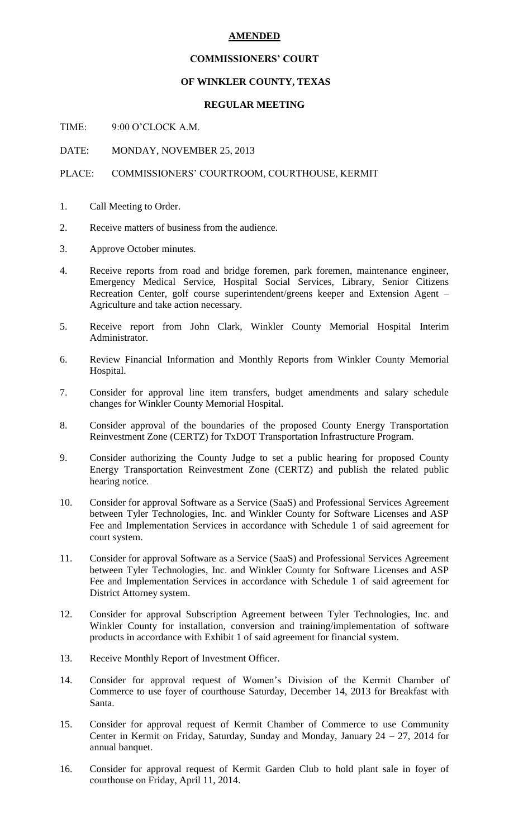#### **AMENDED**

#### **COMMISSIONERS' COURT**

# **OF WINKLER COUNTY, TEXAS**

## **REGULAR MEETING**

TIME: 9:00 O'CLOCK A.M.

DATE: MONDAY, NOVEMBER 25, 2013

# PLACE: COMMISSIONERS' COURTROOM, COURTHOUSE, KERMIT

- 1. Call Meeting to Order.
- 2. Receive matters of business from the audience.
- 3. Approve October minutes.
- 4. Receive reports from road and bridge foremen, park foremen, maintenance engineer, Emergency Medical Service, Hospital Social Services, Library, Senior Citizens Recreation Center, golf course superintendent/greens keeper and Extension Agent – Agriculture and take action necessary.
- 5. Receive report from John Clark, Winkler County Memorial Hospital Interim Administrator.
- 6. Review Financial Information and Monthly Reports from Winkler County Memorial Hospital.
- 7. Consider for approval line item transfers, budget amendments and salary schedule changes for Winkler County Memorial Hospital.
- 8. Consider approval of the boundaries of the proposed County Energy Transportation Reinvestment Zone (CERTZ) for TxDOT Transportation Infrastructure Program.
- 9. Consider authorizing the County Judge to set a public hearing for proposed County Energy Transportation Reinvestment Zone (CERTZ) and publish the related public hearing notice.
- 10. Consider for approval Software as a Service (SaaS) and Professional Services Agreement between Tyler Technologies, Inc. and Winkler County for Software Licenses and ASP Fee and Implementation Services in accordance with Schedule 1 of said agreement for court system.
- 11. Consider for approval Software as a Service (SaaS) and Professional Services Agreement between Tyler Technologies, Inc. and Winkler County for Software Licenses and ASP Fee and Implementation Services in accordance with Schedule 1 of said agreement for District Attorney system.
- 12. Consider for approval Subscription Agreement between Tyler Technologies, Inc. and Winkler County for installation, conversion and training/implementation of software products in accordance with Exhibit 1 of said agreement for financial system.
- 13. Receive Monthly Report of Investment Officer.
- 14. Consider for approval request of Women's Division of the Kermit Chamber of Commerce to use foyer of courthouse Saturday, December 14, 2013 for Breakfast with Santa.
- 15. Consider for approval request of Kermit Chamber of Commerce to use Community Center in Kermit on Friday, Saturday, Sunday and Monday, January 24 – 27, 2014 for annual banquet.
- 16. Consider for approval request of Kermit Garden Club to hold plant sale in foyer of courthouse on Friday, April 11, 2014.